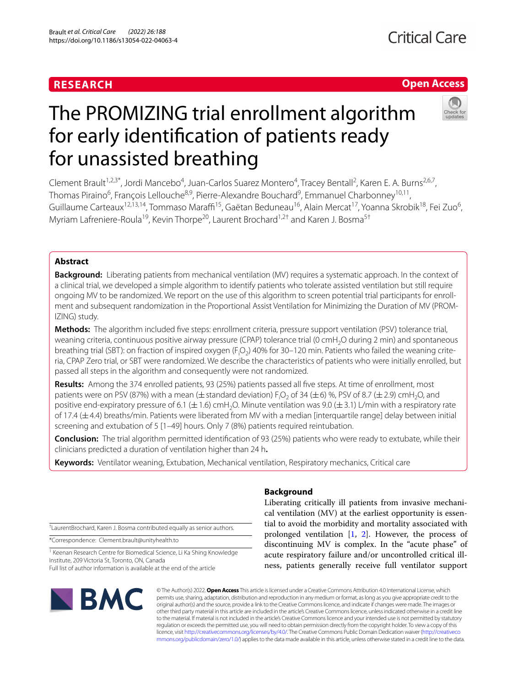### **RESEARCH**

## **Open Access**



# The PROMIZING trial enrollment algorithm for early identifcation of patients ready for unassisted breathing

Clement Brault<sup>1,2,3\*</sup>, Jordi Mancebo<sup>4</sup>, Juan-Carlos Suarez Montero<sup>4</sup>, Tracey Bentall<sup>2</sup>, Karen E. A. Burns<sup>2,6,7</sup>, Thomas Piraino<sup>6</sup>, François Lellouche<sup>8,9</sup>, Pierre-Alexandre Bouchard<sup>9</sup>, Emmanuel Charbonney<sup>10,11</sup>, Guillaume Carteaux<sup>12,13,14</sup>, Tommaso Maraffi<sup>15</sup>, Gaëtan Beduneau<sup>16</sup>, Alain Mercat<sup>17</sup>, Yoanna Skrobik<sup>18</sup>, Fei Zuo<sup>6</sup>, Myriam Lafreniere-Roula<sup>19</sup>, Kevin Thorpe<sup>20</sup>, Laurent Brochard<sup>1,2†</sup> and Karen J. Bosma<sup>5†</sup>

#### **Abstract**

**Background:** Liberating patients from mechanical ventilation (MV) requires a systematic approach. In the context of a clinical trial, we developed a simple algorithm to identify patients who tolerate assisted ventilation but still require ongoing MV to be randomized. We report on the use of this algorithm to screen potential trial participants for enroll‑ ment and subsequent randomization in the Proportional Assist Ventilation for Minimizing the Duration of MV (PROM‑ IZING) study.

**Methods:** The algorithm included fve steps: enrollment criteria, pressure support ventilation (PSV) tolerance trial, weaning criteria, continuous positive airway pressure (CPAP) tolerance trial (0 cmH<sub>2</sub>O during 2 min) and spontaneous breathing trial (SBT): on fraction of inspired oxygen (F<sub>i</sub>O<sub>2</sub>) 40% for 30–120 min. Patients who failed the weaning criteria, CPAP Zero trial, or SBT were randomized. We describe the characteristics of patients who were initially enrolled, but passed all steps in the algorithm and consequently were not randomized.

**Results:** Among the 374 enrolled patients, 93 (25%) patients passed all fve steps. At time of enrollment, most patients were on PSV (87%) with a mean ( $\pm$  standard deviation) F<sub>i</sub>O<sub>2</sub> of 34 ( $\pm$ 6) %, PSV of 8.7 ( $\pm$ 2.9) cmH<sub>2</sub>O, and positive end-expiratory pressure of 6.1 ( $\pm$  1.6) cmH<sub>2</sub>O. Minute ventilation was 9.0 ( $\pm$  3.1) L/min with a respiratory rate of 17.4  $(\pm 4.4)$  breaths/min. Patients were liberated from MV with a median [interquartile range] delay between initial screening and extubation of 5 [1–49] hours. Only 7 (8%) patients required reintubation.

**Conclusion:** The trial algorithm permitted identifcation of 93 (25%) patients who were ready to extubate, while their clinicians predicted a duration of ventilation higher than 24 h**.**

**Keywords:** Ventilator weaning, Extubation, Mechanical ventilation, Respiratory mechanics, Critical care

† LaurentBrochard, Karen J. Bosma contributed equally as senior authors.

\*Correspondence: Clement.brault@unityhealth.to

<sup>1</sup> Keenan Research Centre for Biomedical Science, Li Ka Shing Knowledge Institute, 209 Victoria St, Toronto, ON, Canada Full list of author information is available at the end of the article

# **BMC**

#### **Background**

Liberating critically ill patients from invasive mechanical ventilation (MV) at the earliest opportunity is essential to avoid the morbidity and mortality associated with prolonged ventilation [\[1](#page-7-0), [2\]](#page-7-1). However, the process of discontinuing MV is complex. In the "acute phase" of acute respiratory failure and/or uncontrolled critical illness, patients generally receive full ventilator support

© The Author(s) 2022. **Open Access** This article is licensed under a Creative Commons Attribution 4.0 International License, which permits use, sharing, adaptation, distribution and reproduction in any medium or format, as long as you give appropriate credit to the original author(s) and the source, provide a link to the Creative Commons licence, and indicate if changes were made. The images or other third party material in this article are included in the article's Creative Commons licence, unless indicated otherwise in a credit line to the material. If material is not included in the article's Creative Commons licence and your intended use is not permitted by statutory regulation or exceeds the permitted use, you will need to obtain permission directly from the copyright holder. To view a copy of this licence, visit [http://creativecommons.org/licenses/by/4.0/.](http://creativecommons.org/licenses/by/4.0/) The Creative Commons Public Domain Dedication waiver ([http://creativeco](http://creativecommons.org/publicdomain/zero/1.0/) [mmons.org/publicdomain/zero/1.0/](http://creativecommons.org/publicdomain/zero/1.0/)) applies to the data made available in this article, unless otherwise stated in a credit line to the data.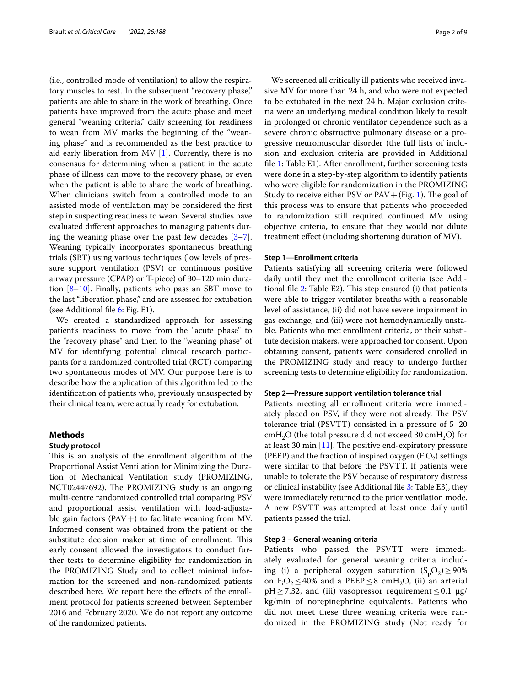(i.e., controlled mode of ventilation) to allow the respiratory muscles to rest. In the subsequent "recovery phase," patients are able to share in the work of breathing. Once patients have improved from the acute phase and meet general "weaning criteria," daily screening for readiness to wean from MV marks the beginning of the "weaning phase" and is recommended as the best practice to aid early liberation from MV [[1\]](#page-7-0). Currently, there is no consensus for determining when a patient in the acute phase of illness can move to the recovery phase, or even when the patient is able to share the work of breathing. When clinicians switch from a controlled mode to an assisted mode of ventilation may be considered the frst step in suspecting readiness to wean. Several studies have evaluated diferent approaches to managing patients during the weaning phase over the past few decades [\[3](#page-7-2)[–7](#page-8-0)]. Weaning typically incorporates spontaneous breathing trials (SBT) using various techniques (low levels of pressure support ventilation (PSV) or continuous positive airway pressure (CPAP) or T-piece) of 30–120 min duration [\[8](#page-8-1)–[10\]](#page-8-2). Finally, patients who pass an SBT move to the last "liberation phase," and are assessed for extubation (see Additional fle [6:](#page-7-3) Fig. E1).

We created a standardized approach for assessing patient's readiness to move from the "acute phase" to the "recovery phase" and then to the "weaning phase" of MV for identifying potential clinical research participants for a randomized controlled trial (RCT) comparing two spontaneous modes of MV. Our purpose here is to describe how the application of this algorithm led to the identifcation of patients who, previously unsuspected by their clinical team, were actually ready for extubation.

#### **Methods**

#### **Study protocol**

This is an analysis of the enrollment algorithm of the Proportional Assist Ventilation for Minimizing the Duration of Mechanical Ventilation study (PROMIZING, NCT02447692). The PROMIZING study is an ongoing multi-centre randomized controlled trial comparing PSV and proportional assist ventilation with load-adjustable gain factors  $(PAV+)$  to facilitate weaning from MV. Informed consent was obtained from the patient or the substitute decision maker at time of enrollment. This early consent allowed the investigators to conduct further tests to determine eligibility for randomization in the PROMIZING Study and to collect minimal information for the screened and non-randomized patients described here. We report here the efects of the enrollment protocol for patients screened between September 2016 and February 2020. We do not report any outcome of the randomized patients.

We screened all critically ill patients who received invasive MV for more than 24 h, and who were not expected to be extubated in the next 24 h. Major exclusion criteria were an underlying medical condition likely to result in prolonged or chronic ventilator dependence such as a severe chronic obstructive pulmonary disease or a progressive neuromuscular disorder (the full lists of inclusion and exclusion criteria are provided in Additional fle [1:](#page-7-4) Table E1). After enrollment, further screening tests were done in a step-by-step algorithm to identify patients who were eligible for randomization in the PROMIZING Study to receive either PSV or  $PAV + (Fig. 1)$  $PAV + (Fig. 1)$ . The goal of this process was to ensure that patients who proceeded to randomization still required continued MV using objective criteria, to ensure that they would not dilute treatment efect (including shortening duration of MV).

#### **Step 1—Enrollment criteria**

Patients satisfying all screening criteria were followed daily until they met the enrollment criteria (see Additional file  $2$ : Table E2). This step ensured (i) that patients were able to trigger ventilator breaths with a reasonable level of assistance, (ii) did not have severe impairment in gas exchange, and (iii) were not hemodynamically unstable. Patients who met enrollment criteria, or their substitute decision makers, were approached for consent. Upon obtaining consent, patients were considered enrolled in the PROMIZING study and ready to undergo further screening tests to determine eligibility for randomization.

#### **Step 2—Pressure support ventilation tolerance trial**

Patients meeting all enrollment criteria were immediately placed on PSV, if they were not already. The PSV tolerance trial (PSVTT) consisted in a pressure of 5–20  $cmH<sub>2</sub>O$  (the total pressure did not exceed 30  $cmH<sub>2</sub>O$ ) for at least 30 min  $[11]$  $[11]$  $[11]$ . The positive end-expiratory pressure (PEEP) and the fraction of inspired oxygen  $(F_iO_2)$  settings were similar to that before the PSVTT. If patients were unable to tolerate the PSV because of respiratory distress or clinical instability (see Additional fle [3:](#page-7-6) Table E3), they were immediately returned to the prior ventilation mode. A new PSVTT was attempted at least once daily until patients passed the trial.

#### **Step 3 – General weaning criteria**

Patients who passed the PSVTT were immediately evaluated for general weaning criteria including (i) a peripheral oxygen saturation  $(S_pO_2) \ge 90\%$ on  $F_1O_2 \le 40\%$  and a PEEP  $\le 8$  cmH<sub>2</sub>O, (ii) an arterial  $pH \geq 7.32$ , and (iii) vasopressor requirement  $\leq 0.1$   $\mu$ g/ kg/min of norepinephrine equivalents. Patients who did not meet these three weaning criteria were randomized in the PROMIZING study (Not ready for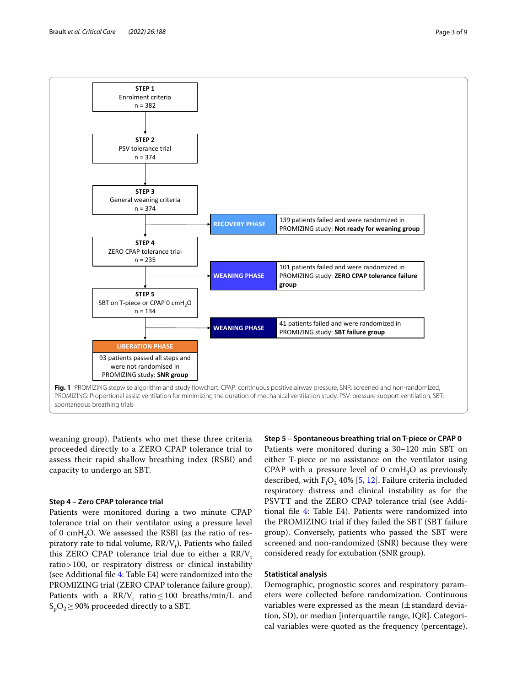

<span id="page-2-0"></span>weaning group). Patients who met these three criteria proceeded directly to a ZERO CPAP tolerance trial to assess their rapid shallow breathing index (RSBI) and capacity to undergo an SBT.

#### **Step 4 – Zero CPAP tolerance trial**

Patients were monitored during a two minute CPAP tolerance trial on their ventilator using a pressure level of 0 cmH<sub>2</sub>O. We assessed the RSBI (as the ratio of respiratory rate to tidal volume,  $\rm RR/V_t$ ). Patients who failed this ZERO CPAP tolerance trial due to either a  $RR/V_t$ ratio>100, or respiratory distress or clinical instability (see Additional fle [4:](#page-7-7) Table E4) were randomized into the PROMIZING trial (ZERO CPAP tolerance failure group). Patients with a  $\text{RR/V}_\text{t}$  ratio  $\leq 100$  breaths/min/L and  $S_pO_2 \geq 90\%$  proceeded directly to a SBT.

#### **Step 5 – Spontaneous breathing trial on T‑piece or CPAP 0**

Patients were monitored during a 30–120 min SBT on either T-piece or no assistance on the ventilator using CPAP with a pressure level of 0 cmH<sub>2</sub>O as previously described, with  $F_1O_2$  40% [\[5,](#page-8-4) [12\]](#page-8-5). Failure criteria included respiratory distress and clinical instability as for the PSVTT and the ZERO CPAP tolerance trial (see Additional fle [4](#page-7-7): Table E4). Patients were randomized into the PROMIZING trial if they failed the SBT (SBT failure group). Conversely, patients who passed the SBT were screened and non-randomized (SNR) because they were considered ready for extubation (SNR group).

#### **Statistical analysis**

Demographic, prognostic scores and respiratory parameters were collected before randomization. Continuous variables were expressed as the mean  $(\pm$  standard deviation, SD), or median [interquartile range, IQR]. Categorical variables were quoted as the frequency (percentage).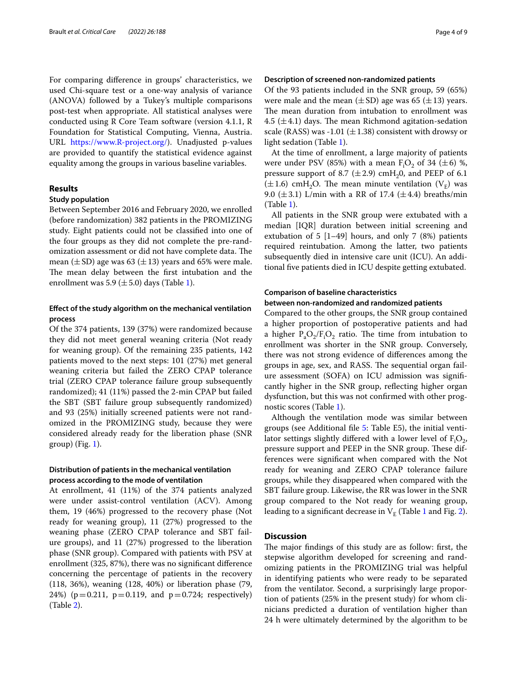For comparing diference in groups' characteristics, we used Chi-square test or a one-way analysis of variance (ANOVA) followed by a Tukey's multiple comparisons post-test when appropriate. All statistical analyses were conducted using R Core Team software (version 4.1.1, R Foundation for Statistical Computing, Vienna, Austria. URL [https://www.R-project.org/\)](https://www.R-project.org/). Unadjusted p-values are provided to quantify the statistical evidence against equality among the groups in various baseline variables.

#### **Results**

#### **Study population**

Between September 2016 and February 2020, we enrolled (before randomization) 382 patients in the PROMIZING study. Eight patients could not be classifed into one of the four groups as they did not complete the pre-randomization assessment or did not have complete data. The mean  $(\pm SD)$  age was 63  $(\pm 13)$  years and 65% were male. The mean delay between the first intubation and the enrollment was 5.9 ( $\pm$  5.0) days (Table [1\)](#page-4-0).

#### **Efect of the study algorithm on the mechanical ventilation process**

Of the 374 patients, 139 (37%) were randomized because they did not meet general weaning criteria (Not ready for weaning group). Of the remaining 235 patients, 142 patients moved to the next steps: 101 (27%) met general weaning criteria but failed the ZERO CPAP tolerance trial (ZERO CPAP tolerance failure group subsequently randomized); 41 (11%) passed the 2-min CPAP but failed the SBT (SBT failure group subsequently randomized) and 93 (25%) initially screened patients were not randomized in the PROMIZING study, because they were considered already ready for the liberation phase (SNR  $(Fig. 1)$  $(Fig. 1)$ .

#### **Distribution of patients in the mechanical ventilation process according to the mode of ventilation**

At enrollment, 41 (11%) of the 374 patients analyzed were under assist-control ventilation (ACV). Among them, 19 (46%) progressed to the recovery phase (Not ready for weaning group), 11 (27%) progressed to the weaning phase (ZERO CPAP tolerance and SBT failure groups), and 11 (27%) progressed to the liberation phase (SNR group). Compared with patients with PSV at enrollment (325, 87%), there was no signifcant diference concerning the percentage of patients in the recovery (118, 36%), weaning (128, 40%) or liberation phase (79, 24%) ( $p = 0.211$ ,  $p = 0.119$ , and  $p = 0.724$ ; respectively) (Table [2](#page-4-1)).

#### **Description of screened non‑randomized patients**

Of the 93 patients included in the SNR group, 59 (65%) were male and the mean  $(\pm SD)$  age was 65  $(\pm 13)$  years. The mean duration from intubation to enrollment was 4.5 ( $\pm$ 4.1) days. The mean Richmond agitation-sedation scale (RASS) was -1.01 ( $\pm$ 1.38) consistent with drowsy or light sedation (Table [1](#page-4-0)).

At the time of enrollment, a large majority of patients were under PSV (85%) with a mean  $F_1O_2$  of 34 ( $\pm 6$ ) %, pressure support of 8.7 ( $\pm$  2.9) cmH<sub>2</sub>0, and PEEP of 6.1  $(\pm 1.6)$  cmH<sub>2</sub>O. The mean minute ventilation (V<sub>E</sub>) was 9.0 ( $\pm$ 3.1) L/min with a RR of 17.4 ( $\pm$ 4.4) breaths/min (Table [1\)](#page-4-0).

All patients in the SNR group were extubated with a median [IQR] duration between initial screening and extubation of 5 [1–49] hours, and only 7 (8%) patients required reintubation. Among the latter, two patients subsequently died in intensive care unit (ICU). An additional fve patients died in ICU despite getting extubated.

#### **Comparison of baseline characteristics**

#### **between non‑randomized and randomized patients**

Compared to the other groups, the SNR group contained a higher proportion of postoperative patients and had a higher  $P_aO_2/F_iO_2$  ratio. The time from intubation to enrollment was shorter in the SNR group. Conversely, there was not strong evidence of diferences among the groups in age, sex, and RASS. The sequential organ failure assessment (SOFA) on ICU admission was signifcantly higher in the SNR group, refecting higher organ dysfunction, but this was not confrmed with other prognostic scores (Table [1](#page-4-0)).

Although the ventilation mode was similar between groups (see Additional fle [5](#page-7-8): Table E5), the initial ventilator settings slightly differed with a lower level of  $F_iO_2$ , pressure support and PEEP in the SNR group. These differences were signifcant when compared with the Not ready for weaning and ZERO CPAP tolerance failure groups, while they disappeared when compared with the SBT failure group. Likewise, the RR was lower in the SNR group compared to the Not ready for weaning group, leading to a significant decrease in  $V_E$  (Table [1](#page-4-0) and Fig. [2](#page-5-0)).

#### **Discussion**

The major findings of this study are as follow: first, the stepwise algorithm developed for screening and randomizing patients in the PROMIZING trial was helpful in identifying patients who were ready to be separated from the ventilator. Second, a surprisingly large proportion of patients (25% in the present study) for whom clinicians predicted a duration of ventilation higher than 24 h were ultimately determined by the algorithm to be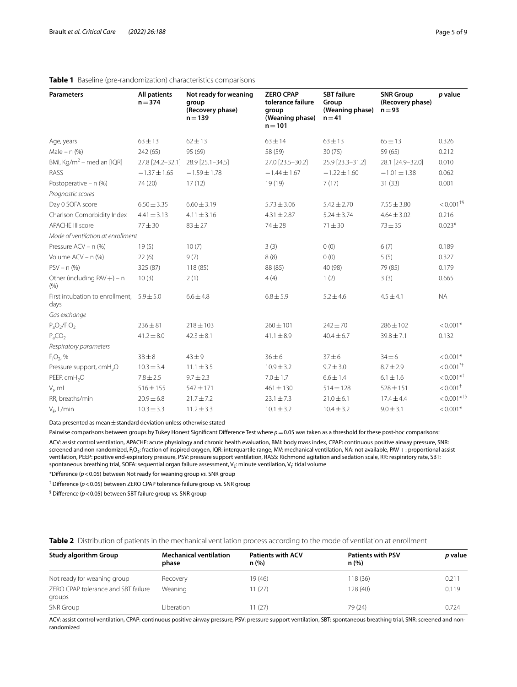| <b>Parameters</b>                                     | <b>All patients</b><br>$n = 374$ | Not ready for weaning<br>group<br>(Recovery phase)<br>$n = 139$ | <b>ZERO CPAP</b><br>tolerance failure<br>group<br>(Weaning phase)<br>$n = 101$ | <b>SBT</b> failure<br>Group<br>(Weaning phase)<br>$n = 41$ | <b>SNR Group</b><br>(Recovery phase)<br>$n = 93$ | p value                   |
|-------------------------------------------------------|----------------------------------|-----------------------------------------------------------------|--------------------------------------------------------------------------------|------------------------------------------------------------|--------------------------------------------------|---------------------------|
| Age, years                                            | $63 \pm 13$                      | $62 \pm 13$                                                     | $63 \pm 14$                                                                    | $63 \pm 13$                                                | $65 \pm 13$                                      | 0.326                     |
| Male – $n$ (%)                                        | 242 (65)                         | 95 (69)                                                         | 58 (59)                                                                        | 30(75)                                                     | 59 (65)                                          | 0.212                     |
| BMI, Kg/m <sup>2</sup> – median [IQR]                 | 27.8 [24.2-32.1]                 | 28.9 [25.1-34.5]                                                | 27.0 [23.5-30.2]                                                               | 25.9 [23.3-31.2]                                           | 28.1 [24.9-32.0]                                 | 0.010                     |
| RASS                                                  | $-1.37 \pm 1.65$                 | $-1.59 \pm 1.78$                                                | $-1.44 \pm 1.67$                                                               | $-1.22 \pm 1.60$                                           | $-1.01 \pm 1.38$                                 | 0.062                     |
| Postoperative - n (%)                                 | 74 (20)                          | 17(12)                                                          | 19 (19)                                                                        | 7(17)                                                      | 31(33)                                           | 0.001                     |
| Prognostic scores                                     |                                  |                                                                 |                                                                                |                                                            |                                                  |                           |
| Day 0 SOFA score                                      | $6.50 \pm 3.35$                  | $6.60 \pm 3.19$                                                 | $5.73 \pm 3.06$                                                                | $5.42 \pm 2.70$                                            | $7.55 \pm 3.80$                                  | $< 0.001 + 5$             |
| Charlson Comorbidity Index                            | $4.41 \pm 3.13$                  | $4.11 \pm 3.16$                                                 | $4.31 \pm 2.87$                                                                | $5.24 \pm 3.74$                                            | $4.64 \pm 3.02$                                  | 0.216                     |
| <b>APACHE III score</b>                               | $77 + 30$                        | $83 + 27$                                                       | $74 \pm 28$                                                                    | $71 + 30$                                                  | $73 + 35$                                        | $0.023*$                  |
| Mode of ventilation at enrollment                     |                                  |                                                                 |                                                                                |                                                            |                                                  |                           |
| Pressure ACV - n (%)                                  | 19(5)                            | 10(7)                                                           | 3(3)                                                                           | 0(0)                                                       | 6(7)                                             | 0.189                     |
| Volume ACV - n (%)                                    | 22(6)                            | 9(7)                                                            | 8(8)                                                                           | 0(0)                                                       | 5(5)                                             | 0.327                     |
| $PSV - n$ (%)                                         | 325 (87)                         | 118 (85)                                                        | 88 (85)                                                                        | 40 (98)                                                    | 79 (85)                                          | 0.179                     |
| Other (including $PAV +$ ) – n<br>(9/6)               | 10(3)                            | 2(1)                                                            | 4(4)                                                                           | 1(2)                                                       | 3(3)                                             | 0.665                     |
| First intubation to enrollment, $5.9 \pm 5.0$<br>days |                                  | $6.6 \pm 4.8$                                                   | $6.8 \pm 5.9$                                                                  | $5.2 \pm 4.6$                                              | $4.5 \pm 4.1$                                    | <b>NA</b>                 |
| Gas exchange                                          |                                  |                                                                 |                                                                                |                                                            |                                                  |                           |
| $P_aO_2/F_1O_2$                                       | $236 \pm 81$                     | $218 \pm 103$                                                   | $260 \pm 101$                                                                  | $242 \pm 70$                                               | $286 \pm 102$                                    | $< 0.001*$                |
| $P_aCO_2$                                             | $41.2 \pm 8.0$                   | $42.3 \pm 8.1$                                                  | $41.1 \pm 8.9$                                                                 | $40.4 \pm 6.7$                                             | $39.8 \pm 7.1$                                   | 0.132                     |
| Respiratory parameters                                |                                  |                                                                 |                                                                                |                                                            |                                                  |                           |
| $F_1O_2$ , %                                          | $38\pm8$                         | $43 + 9$                                                        | $36 + 6$                                                                       | $37 + 6$                                                   | $34\pm6$                                         | $< 0.001*$                |
| Pressure support, cmH <sub>2</sub> O                  | $10.3 \pm 3.4$                   | $11.1 \pm 3.5$                                                  | $10.9 \pm 3.2$                                                                 | $9.7 \pm 3.0$                                              | $8.7 \pm 2.9$                                    | $< 0.001$ <sup>*+</sup>   |
| PEEP, cmH <sub>2</sub> O                              | $7.8 \pm 2.5$                    | $9.7 \pm 2.3$                                                   | $7.0 \pm 1.7$                                                                  | $6.6 \pm 1.4$                                              | $6.1 \pm 1.6$                                    | $0.001**$                 |
| $V_t$ , mL                                            | $516 \pm 155$                    | 547 ± 171                                                       | $461 \pm 130$                                                                  | $514 \pm 128$                                              | $528 \pm 151$                                    | $< 0.001$ <sup>+</sup>    |
| RR, breaths/min                                       | $20.9 \pm 6.8$                   | $21.7 \pm 7.2$                                                  | $23.1 \pm 7.3$                                                                 | $21.0 \pm 6.1$                                             | $17.4 \pm 4.4$                                   | $< 0.001$ * <sup>+§</sup> |
| $V_F$ , L/min                                         | $10.3 \pm 3.3$                   | $11.2 \pm 3.3$                                                  | $10.1 \pm 3.2$                                                                 | $10.4 \pm 3.2$                                             | $9.0 \pm 3.1$                                    | $< 0.001*$                |

#### <span id="page-4-0"></span>**Table 1** Baseline (pre-randomization) characteristics comparisons

Data presented as mean $\pm$ standard deviation unless otherwise stated

Pairwise comparisons between groups by Tukey Honest Significant Difference Test where  $p = 0.05$  was taken as a threshold for these post-hoc comparisons: ACV: assist control ventilation, APACHE: acute physiology and chronic health evaluation, BMI: body mass index, CPAP: continuous positive airway pressure, SNR: screened and non-randomized, F<sub>i</sub>O<sub>2</sub>: fraction of inspired oxygen, IQR: interquartile range, MV: mechanical ventilation, NA: not available, PAV + : proportional assist ventilation, PEEP: positive end-expiratory pressure, PSV: pressure support ventilation, RASS: Richmond agitation and sedation scale, RR: respiratory rate, SBT: spontaneous breathing trial, SOFA: sequential organ failure assessment, V<sub>E</sub>: minute ventilation, V<sub>t</sub>: tidal volume

\*Diference (*p*<0.05) between Not ready for weaning group *vs.* SNR group

† Diference (*p*<0.05) between ZERO CPAP tolerance failure group vs. SNR group

§ Diference (*p*<0.05) between SBT failure group vs. SNR group

<span id="page-4-1"></span>

| <b>Study algorithm Group</b>                  | <b>Mechanical ventilation</b><br>phase | <b>Patients with ACV</b><br>n(%) | <b>Patients with PSV</b><br>n(%) | p value |  |
|-----------------------------------------------|----------------------------------------|----------------------------------|----------------------------------|---------|--|
| Not ready for weaning group                   | Recovery                               | 19 (46)                          | 118 (36)                         | 0.211   |  |
| ZERO CPAP tolerance and SBT failure<br>groups | Weaning                                | 11(27)                           | 128 (40)                         | 0.119   |  |
| SNR Group                                     | l iberation.                           | 11 (27)                          | 79 (24)                          | 0.724   |  |

ACV: assist control ventilation, CPAP: continuous positive airway pressure, PSV: pressure support ventilation, SBT: spontaneous breathing trial, SNR: screened and nonrandomized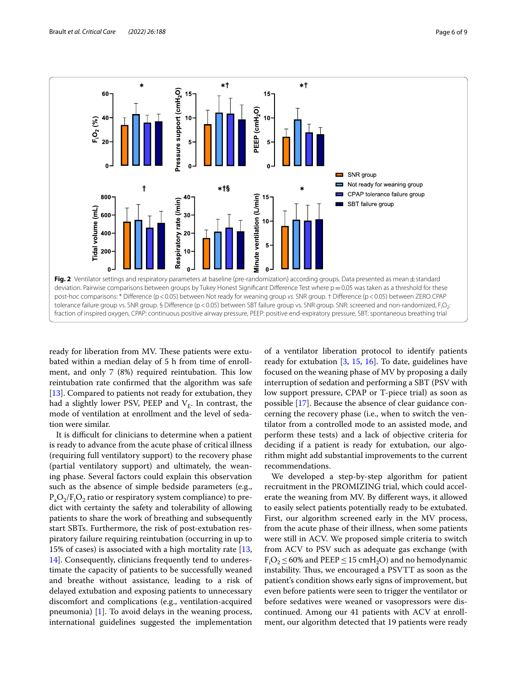

<span id="page-5-0"></span>ready for liberation from MV. These patients were extubated within a median delay of 5 h from time of enrollment, and only  $7$  (8%) required reintubation. This low reintubation rate confrmed that the algorithm was safe [[13\]](#page-8-6). Compared to patients not ready for extubation, they had a slightly lower PSV, PEEP and  $V_F$ . In contrast, the mode of ventilation at enrollment and the level of sedation were similar.

It is difficult for clinicians to determine when a patient is ready to advance from the acute phase of critical illness (requiring full ventilatory support) to the recovery phase (partial ventilatory support) and ultimately, the weaning phase. Several factors could explain this observation such as the absence of simple bedside parameters (e.g.,  $P_aO_2/F_iO_2$  ratio or respiratory system compliance) to predict with certainty the safety and tolerability of allowing patients to share the work of breathing and subsequently start SBTs. Furthermore, the risk of post-extubation respiratory failure requiring reintubation (occurring in up to 15% of cases) is associated with a high mortality rate [\[13](#page-8-6), [14\]](#page-8-7). Consequently, clinicians frequently tend to underestimate the capacity of patients to be successfully weaned and breathe without assistance, leading to a risk of delayed extubation and exposing patients to unnecessary discomfort and complications (e.g., ventilation-acquired pneumonia) [[1\]](#page-7-0). To avoid delays in the weaning process, international guidelines suggested the implementation of a ventilator liberation protocol to identify patients ready for extubation [\[3](#page-7-2), [15](#page-8-8), [16](#page-8-9)]. To date, guidelines have focused on the weaning phase of MV by proposing a daily interruption of sedation and performing a SBT (PSV with low support pressure, CPAP or T-piece trial) as soon as possible [[17](#page-8-10)]. Because the absence of clear guidance concerning the recovery phase (i.e., when to switch the ventilator from a controlled mode to an assisted mode, and perform these tests) and a lack of objective criteria for deciding if a patient is ready for extubation, our algorithm might add substantial improvements to the current recommendations.

We developed a step-by-step algorithm for patient recruitment in the PROMIZING trial, which could accelerate the weaning from MV. By diferent ways, it allowed to easily select patients potentially ready to be extubated. First, our algorithm screened early in the MV process, from the acute phase of their illness, when some patients were still in ACV. We proposed simple criteria to switch from ACV to PSV such as adequate gas exchange (with  $F<sub>i</sub>O<sub>2</sub> \le 60%$  and PEEP  $\le 15$  cmH<sub>2</sub>O) and no hemodynamic instability. Thus, we encouraged a PSVTT as soon as the patient's condition shows early signs of improvement, but even before patients were seen to trigger the ventilator or before sedatives were weaned or vasopressors were discontinued. Among our 41 patients with ACV at enrollment, our algorithm detected that 19 patients were ready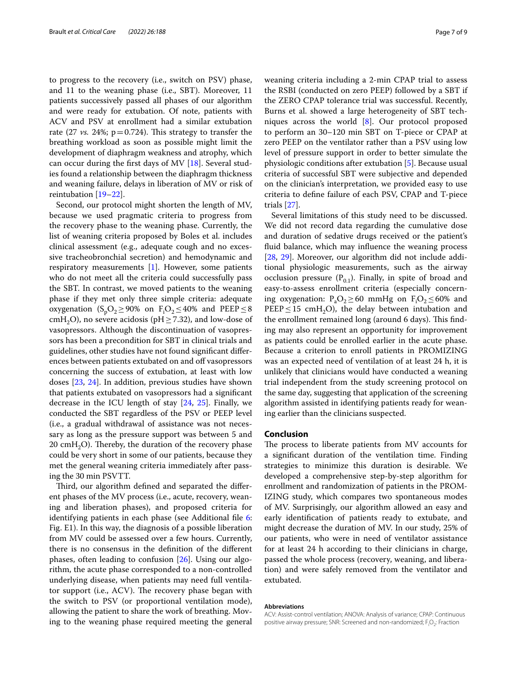to progress to the recovery (i.e., switch on PSV) phase, and 11 to the weaning phase (i.e., SBT). Moreover, 11 patients successively passed all phases of our algorithm and were ready for extubation. Of note, patients with ACV and PSV at enrollment had a similar extubation rate (27  $vs.$  24%;  $p=0.724$ ). This strategy to transfer the breathing workload as soon as possible might limit the development of diaphragm weakness and atrophy, which can occur during the frst days of MV [[18\]](#page-8-11). Several studies found a relationship between the diaphragm thickness and weaning failure, delays in liberation of MV or risk of reintubation [[19–](#page-8-12)[22\]](#page-8-13).

Second, our protocol might shorten the length of MV, because we used pragmatic criteria to progress from the recovery phase to the weaning phase. Currently, the list of weaning criteria proposed by Boles et al. includes clinical assessment (e.g., adequate cough and no excessive tracheobronchial secretion) and hemodynamic and respiratory measurements [[1\]](#page-7-0). However, some patients who do not meet all the criteria could successfully pass the SBT. In contrast, we moved patients to the weaning phase if they met only three simple criteria: adequate oxygenation (S<sub>p</sub>O<sub>2</sub> $\geq$ 90% on F<sub>i</sub>O<sub>2</sub> $\leq$ 40% and PEEP $\leq$ 8 cmH<sub>2</sub>O), no severe acidosis (pH $\geq$ 7.32), and low-dose of vasopressors. Although the discontinuation of vasopressors has been a precondition for SBT in clinical trials and guidelines, other studies have not found signifcant diferences between patients extubated on and off vasopressors concerning the success of extubation, at least with low doses [[23,](#page-8-14) [24](#page-8-15)]. In addition, previous studies have shown that patients extubated on vasopressors had a signifcant decrease in the ICU length of stay [\[24](#page-8-15), [25](#page-8-16)]. Finally, we conducted the SBT regardless of the PSV or PEEP level (i.e., a gradual withdrawal of assistance was not necessary as long as the pressure support was between 5 and 20 cm $H_2O$ ). Thereby, the duration of the recovery phase could be very short in some of our patients, because they met the general weaning criteria immediately after passing the 30 min PSVTT.

Third, our algorithm defined and separated the different phases of the MV process (i.e., acute, recovery, weaning and liberation phases), and proposed criteria for identifying patients in each phase (see Additional fle [6](#page-7-3): Fig. E1). In this way, the diagnosis of a possible liberation from MV could be assessed over a few hours. Currently, there is no consensus in the defnition of the diferent phases, often leading to confusion [[26](#page-8-17)]. Using our algorithm, the acute phase corresponded to a non-controlled underlying disease, when patients may need full ventilator support (i.e., ACV). The recovery phase began with the switch to PSV (or proportional ventilation mode), allowing the patient to share the work of breathing. Moving to the weaning phase required meeting the general weaning criteria including a 2-min CPAP trial to assess the RSBI (conducted on zero PEEP) followed by a SBT if the ZERO CPAP tolerance trial was successful. Recently, Burns et al. showed a large heterogeneity of SBT techniques across the world [[8](#page-8-1)]. Our protocol proposed to perform an 30–120 min SBT on T-piece or CPAP at zero PEEP on the ventilator rather than a PSV using low level of pressure support in order to better simulate the physiologic conditions after extubation [[5\]](#page-8-4). Because usual criteria of successful SBT were subjective and depended on the clinician's interpretation, we provided easy to use criteria to defne failure of each PSV, CPAP and T-piece trials [[27\]](#page-8-18).

Several limitations of this study need to be discussed. We did not record data regarding the cumulative dose and duration of sedative drugs received or the patient's fuid balance, which may infuence the weaning process [[28,](#page-8-19) [29](#page-8-20)]. Moreover, our algorithm did not include additional physiologic measurements, such as the airway occlusion pressure  $(P_{0,1})$ . Finally, in spite of broad and easy-to-assess enrollment criteria (especially concerning oxygenation:  $P_aO_2 \ge 60$  mmHg on  $F_iO_2 \le 60\%$  and  $PEEP \le 15$  cmH<sub>2</sub>O), the delay between intubation and the enrollment remained long (around 6 days). This finding may also represent an opportunity for improvement as patients could be enrolled earlier in the acute phase. Because a criterion to enroll patients in PROMIZING was an expected need of ventilation of at least 24 h, it is unlikely that clinicians would have conducted a weaning trial independent from the study screening protocol on the same day, suggesting that application of the screening algorithm assisted in identifying patients ready for weaning earlier than the clinicians suspected.

#### **Conclusion**

The process to liberate patients from MV accounts for a signifcant duration of the ventilation time. Finding strategies to minimize this duration is desirable. We developed a comprehensive step-by-step algorithm for enrollment and randomization of patients in the PROM-IZING study, which compares two spontaneous modes of MV. Surprisingly, our algorithm allowed an easy and early identifcation of patients ready to extubate, and might decrease the duration of MV. In our study, 25% of our patients, who were in need of ventilator assistance for at least 24 h according to their clinicians in charge, passed the whole process (recovery, weaning, and liberation) and were safely removed from the ventilator and extubated.

#### **Abbreviations**

ACV: Assist-control ventilation; ANOVA: Analysis of variance; CPAP: Continuous positive airway pressure; SNR: Screened and non-randomized; F<sub>i</sub>O<sub>2</sub>: Fraction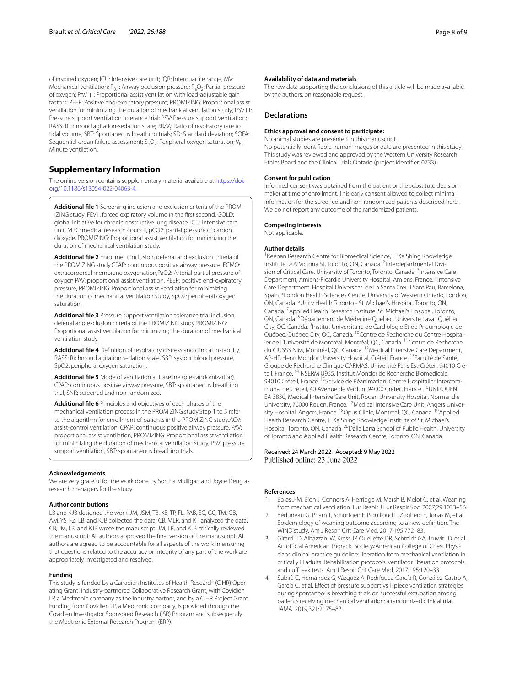of inspired oxygen; ICU: Intensive care unit; IQR: Interquartile range; MV: Mechanical ventilation;  $P_{0,1}$ : Airway occlusion pressure;  $P_{2}O_{2}$ : Partial pressure of oxygen; PAV + : Proportional assist ventilation with load-adjustable gain factors; PEEP: Positive end-expiratory pressure; PROMIZING: Proportional assist ventilation for minimizing the duration of mechanical ventilation study; PSVTT: Pressure support ventilation tolerance trial; PSV: Pressure support ventilation; RASS: Richmond agitation-sedation scale; RR/V<sub>t</sub>: Ratio of respiratory rate to tidal volume; SBT: Spontaneous breathing trials; SD: Standard deviation; SOFA: Sequential organ failure assessment;  $S_nO_2$ : Peripheral oxygen saturation; V<sub>E</sub>: Minute ventilation.

#### **Supplementary Information**

The online version contains supplementary material available at [https://doi.](https://doi.org/10.1186/s13054-022-04063-4) [org/10.1186/s13054-022-04063-4](https://doi.org/10.1186/s13054-022-04063-4).

<span id="page-7-4"></span>**Additional fle 1** Screening inclusion and exclusion criteria of the PROM‑ IZING study. FEV1: forced expiratory volume in the first second, GOLD: global initiative for chronic obstructive lung disease, ICU: intensive care unit, MRC: medical research council, pCO2: partial pressure of carbon dioxyde, PROMIZING: Proportional assist ventilation for minimizing the duration of mechanical ventilation study.

<span id="page-7-5"></span>**Additional fle 2** Enrollment inclusion, deferral and exclusion criteria of the PROMIZING study.CPAP: continuous positive airway pressure, ECMO: extracorporeal membrane oxygenation,PaO2: Arterial partial pressure of oxygen PAV: proportional assist ventilation, PEEP: positive end-expiratory pressure, PROMIZING: Proportional assist ventilation for minimizing the duration of mechanical ventilation study, SpO2: peripheral oxygen saturation.

<span id="page-7-6"></span>**Additional fle 3** Pressure support ventilation tolerance trial inclusion, deferral and exclusion criteria of the PROMIZING study.PROMIZING: Proportional assist ventilation for minimizing the duration of mechanical ventilation study.

<span id="page-7-7"></span>**Additional fle 4** Defnition of respiratory distress and clinical instability. RASS: Richmond agitation sedation scale, SBP: systolic blood pressure, SpO2: peripheral oxygen saturation.

<span id="page-7-8"></span>**Additional fle 5** Mode of ventilation at baseline (pre-randomization). CPAP: continuous positive airway pressure, SBT: spontaneous breathing trial, SNR: screened and non-randomized.

<span id="page-7-3"></span>**Additional fle 6** Principles and objectives of each phases of the mechanical ventilation process in the PROMIZING study.Step 1 to 5 refer to the algorithm for enrollment of patients in the PROMIZING study.ACV: assist-control ventilation, CPAP: continuous positive airway pressure, PAV: proportional assist ventilation, PROMIZING: Proportional assist ventilation for minimizing the duration of mechanical ventilation study, PSV: pressure support ventilation, SBT: spontaneous breathing trials.

#### **Acknowledgements**

We are very grateful for the work done by Sorcha Mulligan and Joyce Deng as research managers for the study.

#### **Author contributions**

LB and KJB designed the work. JM, JSM, TB, KB, TP, FL, PAB, EC, GC, TM, GB, AM, YS, FZ, LB, and KJB collected the data. CB, MLR, and KT analyzed the data. CB, JM, LB, and KJB wrote the manuscript. JM, LB, and KJB critically reviewed the manuscript. All authors approved the fnal version of the manuscript. All authors are agreed to be accountable for all aspects of the work in ensuring that questions related to the accuracy or integrity of any part of the work are appropriately investigated and resolved.

#### **Funding**

This study is funded by a Canadian Institutes of Health Research (CIHR) Operating Grant: Industry-partnered Collaborative Research Grant, with Covidien LP, a Medtronic company as the industry partner, and by a CIHR Project Grant. Funding from Covidien LP, a Medtronic company, is provided through the Covidien Investigator Sponsored Research (ISR) Program and subsequently the Medtronic External Research Program (ERP).

The raw data supporting the conclusions of this article will be made available by the authors, on reasonable request.

#### **Declarations**

#### **Ethics approval and consent to participate:**

No animal studies are presented in this manuscript. No potentially identifable human images or data are presented in this study. This study was reviewed and approved by the Western University Research Ethics Board and the Clinical Trials Ontario (project identifer: 0733).

#### **Consent for publication**

Informed consent was obtained from the patient or the substitute decision maker at time of enrollment. This early consent allowed to collect minimal information for the screened and non-randomized patients described here. We do not report any outcome of the randomized patients.

#### **Competing interests**

Not applicable.

#### **Author details**

<sup>1</sup> Keenan Research Centre for Biomedical Science, Li Ka Shing Knowledge Institute, 209 Victoria St, Toronto, ON, Canada. <sup>2</sup>Interdepartmental Division of Critical Care, University of Toronto, Toronto, Canada. <sup>3</sup>Intensive Care Department, Amiens-Picardie University Hospital, Amiens, France. <sup>4</sup>Intensive Care Department, Hospital Universitari de La Santa Creu I Sant Pau, Barcelona, Spain.<sup>5</sup> London Health Sciences Centre, University of Western Ontario, London, ON, Canada. <sup>6</sup> Unity Health Toronto - St. Michael's Hospital, Toronto, ON, Canada. 7 Applied Health Research Institute, St. Michael's Hospital, Toronto, ON, Canada. <sup>8</sup> Département de Médecine Québec, Université Laval, Québec City, QC, Canada. <sup>9</sup>Institut Universitaire de Cardiologie Et de Pneumologie de Québec, Québec City, QC, Canada. <sup>10</sup>Centre de Recherche du Centre Hospitalier de L'Université de Montréal, Montréal, QC, Canada. <sup>11</sup> Centre de Recherche du CIUSSS NIM, Montréal, QC, Canada. 12Medical Intensive Care Department, AP-HP, Henri Mondor University Hospital, Créteil, France. 13Faculté de Santé, Groupe de Recherche Clinique CARMAS, Université Paris Est-Créteil, 94010 Cré‑ teil, France. <sup>14</sup>INSERM U955, Institut Mondor de Recherche Biomédicale, 94010 Créteil, France. <sup>15</sup> Service de Réanimation, Centre Hospitalier Intercommunal de Créteil, 40 Avenue de Verdun, 94000 Créteil, France. 16UNIROUEN, EA 3830, Medical Intensive Care Unit, Rouen University Hospital, Normandie University, 76000 Rouen, France. <sup>17</sup> Medical Intensive Care Unit, Angers University Hospital, Angers, France. <sup>18</sup>Opus Clinic, Montreal, QC, Canada. <sup>19</sup>Applied Health Research Centre, Li Ka Shing Knowledge Institute of St. Michael's Hospital, Toronto, ON, Canada. <sup>20</sup>Dalla Lana School of Public Health, University of Toronto and Applied Health Research Centre, Toronto, ON, Canada.

# Received: 24 March 2022 Accepted: 9 May 2022<br>Published online: 23 June 2022

#### **References**

- <span id="page-7-0"></span>1. Boles J-M, Bion J, Connors A, Herridge M, Marsh B, Melot C, et al. Weaning from mechanical ventilation. Eur Respir J Eur Respir Soc. 2007;29:1033–56.
- <span id="page-7-1"></span>2. Béduneau G, Pham T, Schortgen F, Piquilloud L, Zogheib E, Jonas M, et al. Epidemiology of weaning outcome according to a new defnition. The WIND study. Am J Respir Crit Care Med. 2017;195:772–83.
- <span id="page-7-2"></span>3. Girard TD, Alhazzani W, Kress JP, Ouellette DR, Schmidt GA, Truwit JD, et al. An official American Thoracic Society/American College of Chest Physicians clinical practice guideline: liberation from mechanical ventilation in critically ill adults. Rehabilitation protocols, ventilator liberation protocols, and cuff leak tests. Am J Respir Crit Care Med. 2017;195:120-33.
- 4. Subirà C, Hernández G, Vázquez A, Rodríguez-García R, González-Castro A, García C, et al. Efect of pressure support vs T-piece ventilation strategies during spontaneous breathing trials on successful extubation among patients receiving mechanical ventilation: a randomized clinical trial. JAMA. 2019;321:2175–82.